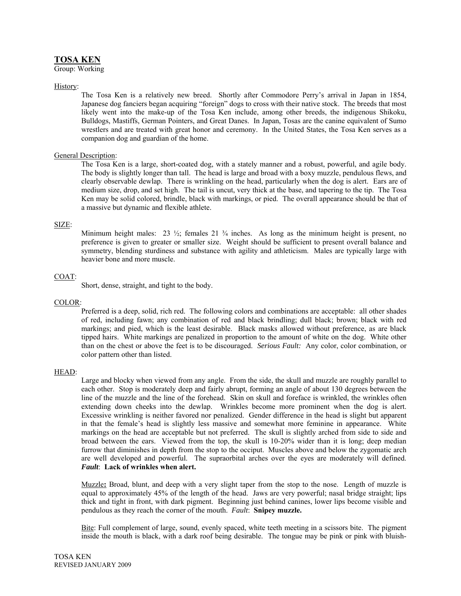# **TOSA KEN**

Group: Working

### History:

The Tosa Ken is a relatively new breed. Shortly after Commodore Perry's arrival in Japan in 1854, Japanese dog fanciers began acquiring "foreign" dogs to cross with their native stock. The breeds that most likely went into the make-up of the Tosa Ken include, among other breeds, the indigenous Shikoku, Bulldogs, Mastiffs, German Pointers, and Great Danes. In Japan, Tosas are the canine equivalent of Sumo wrestlers and are treated with great honor and ceremony. In the United States, the Tosa Ken serves as a companion dog and guardian of the home.

# General Description:

The Tosa Ken is a large, short-coated dog, with a stately manner and a robust, powerful, and agile body. The body is slightly longer than tall. The head is large and broad with a boxy muzzle, pendulous flews, and clearly observable dewlap. There is wrinkling on the head, particularly when the dog is alert. Ears are of medium size, drop, and set high. The tail is uncut, very thick at the base, and tapering to the tip. The Tosa Ken may be solid colored, brindle, black with markings, or pied. The overall appearance should be that of a massive but dynamic and flexible athlete.

# SIZE:

Minimum height males:  $23 \frac{1}{2}$ ; females  $21 \frac{3}{4}$  inches. As long as the minimum height is present, no preference is given to greater or smaller size. Weight should be sufficient to present overall balance and symmetry, blending sturdiness and substance with agility and athleticism. Males are typically large with heavier bone and more muscle.

# COAT:

Short, dense, straight, and tight to the body.

### COLOR:

Preferred is a deep, solid, rich red. The following colors and combinations are acceptable: all other shades of red, including fawn; any combination of red and black brindling; dull black; brown; black with red markings; and pied, which is the least desirable. Black masks allowed without preference, as are black tipped hairs. White markings are penalized in proportion to the amount of white on the dog. White other than on the chest or above the feet is to be discouraged. *Serious Fault:* Any color, color combination, or color pattern other than listed.

### HEAD:

Large and blocky when viewed from any angle. From the side, the skull and muzzle are roughly parallel to each other. Stop is moderately deep and fairly abrupt, forming an angle of about 130 degrees between the line of the muzzle and the line of the forehead. Skin on skull and foreface is wrinkled, the wrinkles often extending down cheeks into the dewlap. Wrinkles become more prominent when the dog is alert. Excessive wrinkling is neither favored nor penalized. Gender difference in the head is slight but apparent in that the female's head is slightly less massive and somewhat more feminine in appearance. White markings on the head are acceptable but not preferred. The skull is slightly arched from side to side and broad between the ears. Viewed from the top, the skull is 10-20% wider than it is long; deep median furrow that diminishes in depth from the stop to the occiput. Muscles above and below the zygomatic arch are well developed and powerful. The supraorbital arches over the eyes are moderately will defined. *Fault*: **Lack of wrinkles when alert.** 

Muzzle**:** Broad, blunt, and deep with a very slight taper from the stop to the nose. Length of muzzle is equal to approximately 45% of the length of the head. Jaws are very powerful; nasal bridge straight; lips thick and tight in front, with dark pigment. Beginning just behind canines, lower lips become visible and pendulous as they reach the corner of the mouth. *Fault*: **Snipey muzzle.**

Bite: Full complement of large, sound, evenly spaced, white teeth meeting in a scissors bite. The pigment inside the mouth is black, with a dark roof being desirable. The tongue may be pink or pink with bluish-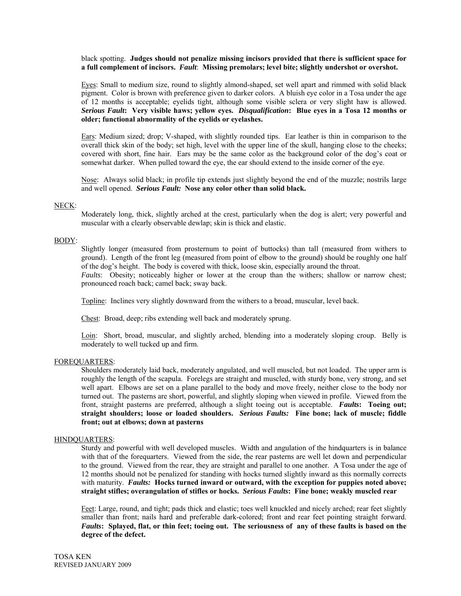black spotting. **Judges should not penalize missing incisors provided that there is sufficient space for a full complement of incisors.** *Fault*: **Missing premolars; level bite; slightly undershot or overshot.**

Eyes: Small to medium size, round to slightly almond-shaped, set well apart and rimmed with solid black pigment. Color is brown with preference given to darker colors. A bluish eye color in a Tosa under the age of 12 months is acceptable; eyelids tight, although some visible sclera or very slight haw is allowed. *Serious Fault***: Very visible haws; yellow eyes.** *Disqualification***: Blue eyes in a Tosa 12 months or older; functional abnormality of the eyelids or eyelashes.**

Ears: Medium sized; drop; V-shaped, with slightly rounded tips. Ear leather is thin in comparison to the overall thick skin of the body; set high, level with the upper line of the skull, hanging close to the cheeks; covered with short, fine hair. Ears may be the same color as the background color of the dog's coat or somewhat darker. When pulled toward the eye, the ear should extend to the inside corner of the eye.

Nose: Always solid black; in profile tip extends just slightly beyond the end of the muzzle; nostrils large and well opened. *Serious Fault:* **Nose any color other than solid black.** 

#### NECK:

Moderately long, thick, slightly arched at the crest, particularly when the dog is alert; very powerful and muscular with a clearly observable dewlap; skin is thick and elastic.

### BODY:

Slightly longer (measured from prosternum to point of buttocks) than tall (measured from withers to ground). Length of the front leg (measured from point of elbow to the ground) should be roughly one half of the dog's height. The body is covered with thick, loose skin, especially around the throat.

*Faults*: Obesity; noticeably higher or lower at the croup than the withers; shallow or narrow chest; pronounced roach back; camel back; sway back.

Topline: Inclines very slightly downward from the withers to a broad, muscular, level back.

Chest: Broad, deep; ribs extending well back and moderately sprung.

Loin: Short, broad, muscular, and slightly arched, blending into a moderately sloping croup. Belly is moderately to well tucked up and firm.

#### FOREQUARTERS:

Shoulders moderately laid back, moderately angulated, and well muscled, but not loaded. The upper arm is roughly the length of the scapula. Forelegs are straight and muscled, with sturdy bone, very strong, and set well apart. Elbows are set on a plane parallel to the body and move freely, neither close to the body nor turned out. The pasterns are short, powerful, and slightly sloping when viewed in profile. Viewed from the front, straight pasterns are preferred, although a slight toeing out is acceptable. *Faults***: Toeing out; straight shoulders; loose or loaded shoulders.** *Serious Faults:* **Fine bone; lack of muscle; fiddle front; out at elbows; down at pasterns** 

#### HINDQUARTERS:

Sturdy and powerful with well developed muscles. Width and angulation of the hindquarters is in balance with that of the forequarters. Viewed from the side, the rear pasterns are well let down and perpendicular to the ground. Viewed from the rear, they are straight and parallel to one another. A Tosa under the age of 12 months should not be penalized for standing with hocks turned slightly inward as this normally corrects with maturity. *Faults:* Hocks turned inward or outward, with the exception for puppies noted above; **straight stifles; overangulation of stifles or hocks.** *Serious Faults***: Fine bone; weakly muscled rear** 

Feet: Large, round, and tight; pads thick and elastic; toes well knuckled and nicely arched; rear feet slightly smaller than front; nails hard and preferable dark-colored; front and rear feet pointing straight forward. *Faults***: Splayed, flat, or thin feet; toeing out. The seriousness of any of these faults is based on the degree of the defect.**